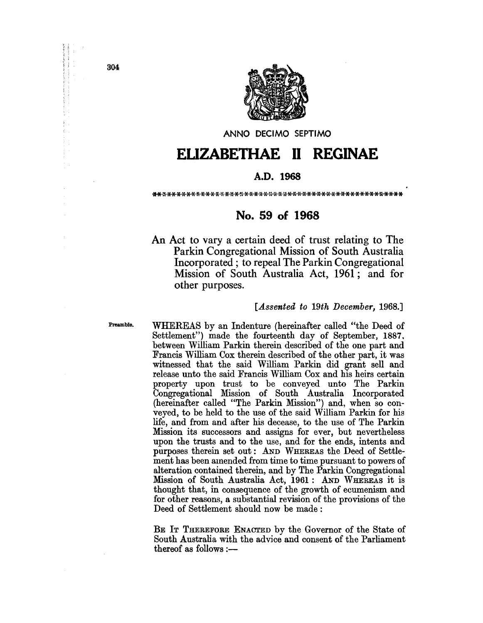

ANNO DECIMO SEPTIMO

# **ELIZABETHAE 11 REGINAE**

## A.D. **1968**

### \*\*\*\*\*\*\*\*\*\*\*\*\*\*\*\*\*\*\*\*\*\*\*\*\*\*\*\*\*\*\*\*\*\*\*\*\*\*\*\*\*\*\*\*\*\*\*\*\*\*\*\*

## **No. 59 of 1968**

An Act to vary a certain deed of trust relating to The Parkin Congregational Mission of South Australia Incorporated; to repeal The Parkin Congregational Mission of South Australia Act, 1961; and for other purposes.

### *[Assented to 19th December, 1968.]*

Preamble.

WHEREAS by an Indenture (hereinafter called "the Deed of Settlement") made the fourteenth day of September, 1887. between William Parkin therein described of the one part and Francis William Cox therein described of the other part, it was witnessed that the said William Parkin did grant sell and release unto the said Francis William Cox and his heirs certain property upon trust to be conveyed unto The Parkin Congregational Mission of South Australia Incorporated (hereinafter called "The Parkin Mission") and, when so conveyed, to be held to the use of the said William Parkin for his life, and from and after his decease, to the use of The Parkin Mission its successors and assigns for ever, but nevertheless upon the trusts and to the use, and for the ends, intents and purposes therein set out: AND WHEREAS the Deed of Settlement has been amended from time to time pursuant to powers of alteration contained therein, and by The Parkin Congregational Mission of South Australia Act, 1961: AND WHEREAS it is thought that, in consequence of the growth of ecumenism and for other reasons, a substantial revision of the provisions of the Deed of Settlement should now be made:

BE IT THEREFORE ENACTED by the Governor of the State of South Australia with the advice and consent of the Parliament thereof as follows :-

304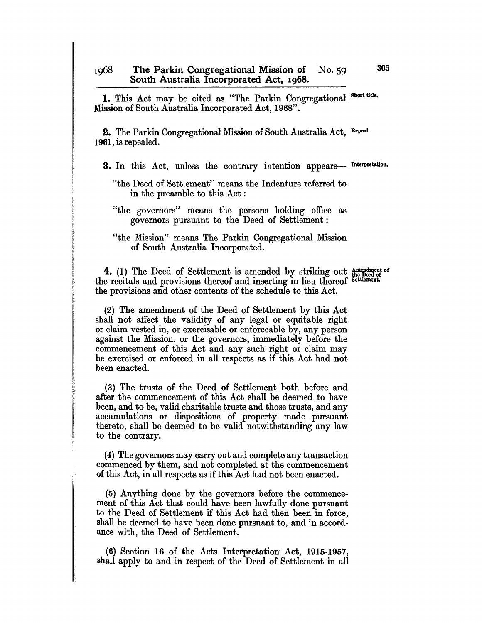1. This Act may be cited as "The Parkin Congregational Short title. Mission of South Australia Incorporated Act, 1968".

2. The Parkin Congregational Mission of South Australia Act, Repeal. 1961, is repealed.

3. In this Act, unless the contrary intention appears- Interpretation.

4. (1) The Deed of Settlement is amended by striking out  $_{\text{the Deed of}}^{\text{Amendment of}}$ the recitals and provisions thereof and inserting in lieu thereof Settlement. the provisions and other contents of the schedule to this Act.

(2) The amendment of the Deed of Settlement by this Act shall not affect the validity of any legal or equitable right or claim vested in, or exercisable or enforceable by, any person against the Mission, or the governors, immediately before the commencement of this Act and any such right or claim may be exercised or enforced in all respects as if this Act had not been enacted.

(3) The trusts of the Deed of Settlement both before and after the commencement of this Act shall be deemed to have been, and to be, valid charitable trusts and those trusts, and any accumulations or dispositions of property made pursuant thereto, shall be deemed to be valid notwithstanding any law to the contrary.

(4) The governors may carry out and complete any transaction commenced by them, and not completed at the commencement of this Act, in all respects as if this Act had not been enacted.

(5) Anything done by the governors before the commencement of this Act that could have been lawfully done pursuant to the Deed of Settlement if this Act had then been in force, shall be deemed to have been done pursuant to, and in accordance with, the Deed of Settlement.

(6) Section 16 of the Acts Interpretation Act, 1915-1957, shall apply to and in respect of the Deed of Settlement in all

<sup>&</sup>quot;the Deed of Settlement" means the Indenture referred to in the preamble to this Act:

<sup>&</sup>quot;the governors" means the persons holding office as governors pursuant to the Deed of Settlement:

<sup>&</sup>quot;the Mission" means The Parkin Congregational Mission of South Australia Incorporated.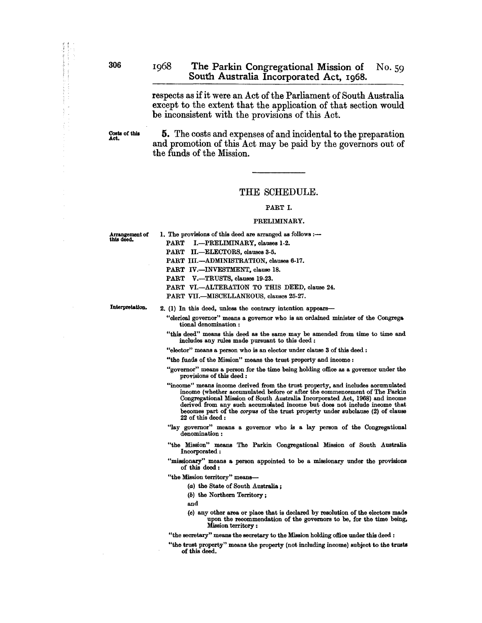respects as if it were an Act of the Parliament of South Australia except to the extent that the application of that section would be inconsistent with the provisions of this Act.

Costs of this<br>Act.

5. The costs and expenses of and incidental to the preparation and promotion of this Act may be paid by the governors out of the funds of the Mission.

### THE SCHEDULE.

### PART I.

### PRELIMINARY.

Arrangement of this deed.

1. The provisions of this deed are arranged as follows :--PART I.-PRELIMINARY, clauses 1-2. PART II.-ELECTORS. clauses 3-5. PART III.-ADMINISTRATION, clauses 6-17. PART IV.-INVESTMENT, clause 18. PART V.-TRUSTS, clauses 19-23. PART VI.-ALTERATION TO THIS DEED, clause 24. PART VII.-MISCELLANEOUS, clauses 25-27.

Interpretation.

2. (1) In this deed, unless the contrary intention appears-

"clerical governor" means a governor who is an ordained minister of the Congrega tional denomination:

"this deed" means this deed as the same may be amended from time to time and includes any rules made pursuant to this deed:

"elector" means a person who is an elector under clause 3 of this deed :

"the funds of the Mission" means the trust property and income:

- "governor" means a person for the time being holding office as a governor under the provisions of this deed:
- "income" means income derived from the trust property, and includes accumulated income (whether accumulated before or after the commencement of The Parkin Congregational Mission of South Australia Incorporated Act, 1968) and income derived from any such accumulated income but does not include income that becomes part of the *corpus* of the trust property under subclause (2) of clauss 22 of this deed:
- "lay governor" means a governor who is a lay person of the Congregational denomination:
- "the Mission" means The Parkin Congregational Mission of South Australia Incorporated:
- "missionary" means a person appointed to be a missionary under the provisions of this deed:
- "the Mission territory" means-
	- (a) the State of South Australia ;
	- (b) the Northern Territory;
	- and
	- (cl any other area or place that is declared by resolution of the electors made upon the recommendation of the governors to be, for the time being. Mission territory :

"the secretary" means the secretary to the Mission holding office under this deed :

"the trust property" means the property (not including income) subject to the trusts of this deed.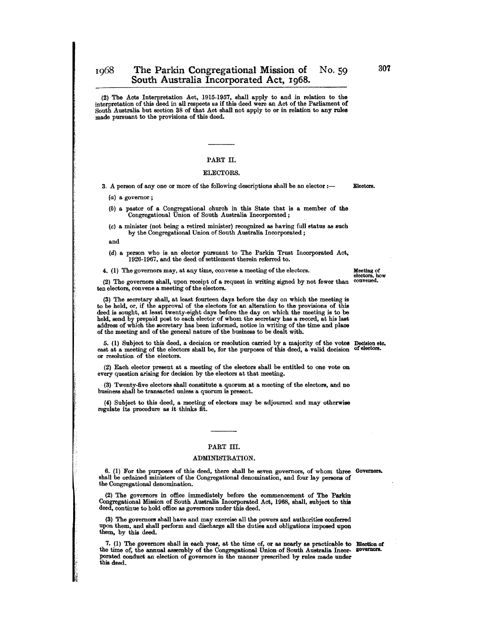(2) The Acts Interpretation Act, 1915-1957, shall apply to and in relation to the interpretation of this deed in all respects as if this deed were an Act of the Parliament of South Australia but section 38 of that Act shall not apply to or in relation to any rules made pursuant to the provisions of this deed.

### PART H.

### ELECTORS.

3. A person of any one or more of the following descriptions shall be an elector :--

(a) a governor;

(b) a pastor of a Congregational church in this State that is a member of the Congregational Union of South Australia Incorporated;

(cl a minister (not being a retired minister) recognized as having full status as such by the Congregational Union of South Australia Incorporated;

and

I.·

(d) a person who is an elector pursuant to The Parkin Trust Incorporated Act, 1926-1967, and the deed of settlement therein referred to.

4. (1) The governors may, at any time, convene a meeting of the electors.

(2) The governors shall, upon receipt of a request in writing signed by not fewer than ten electors, convene a meeting of the electors.

(3) The secretary shall, at least fourteen days before the day on which the meeting is to be held, or, if the approval of the electors for an alteration to the provisions of this deed is sought, at least twenty-eight days before the day on which the meeting is to be held, send by prepaid post to each elector of whom the secretary has a record, at his last address of which the secretary has been informed, notice in writing of the time and place of the meeting and of the general nature of the business to be dealt with.

5. (1) Subject to this deed, a decision or resolution carried by a majority of the votes Decision etc. cast at a meeting of the electors shall be, for the purposes of this deed, a valid decision of electors or resolution of the electors.

(2) Each elector present at a meeting of the electors shall be entitled to one vote on every question arising for decision by the electors at that meeting.

(3) Twenty-five electors shall constitute a quorum at a meeting of the electors, and no business shall be transacted unless a quorum is present.

(4) Subject to this deed, a meeting of electors may be adjourned and may otherwise regulate its procedure as it thinks fit.

### PART III.

#### ADMINISTRATION.

6. (1) For the purposes of this deed, there shall be seven governors, of whom three Governors. shall be ordained ministers of the Congregational denomination, and four lay persons of the Congregational denomination.

(2) The governors in office immediately before the commencement of The Parkin Congregational Mission of South Australia Incorporated Act, 1968, shall, subject to this deed, continue to hold office as governors under this deed.

(3) The governors shall have and may exercise all the powers and authorities conferred upon them, and shall perform and discharge all the duties and obligations imposed upon them, by this deed.

7. (1) The governors shall in each year, at the time of, or as nearly as practicable to Election of the time of, the annual assembly of the Congregational Union of South Australia Incorporated conduct an election of governors in the manner prescribed by rules made under this deed.

Electors.

Meeting of<br>electors, how<br>convened.

307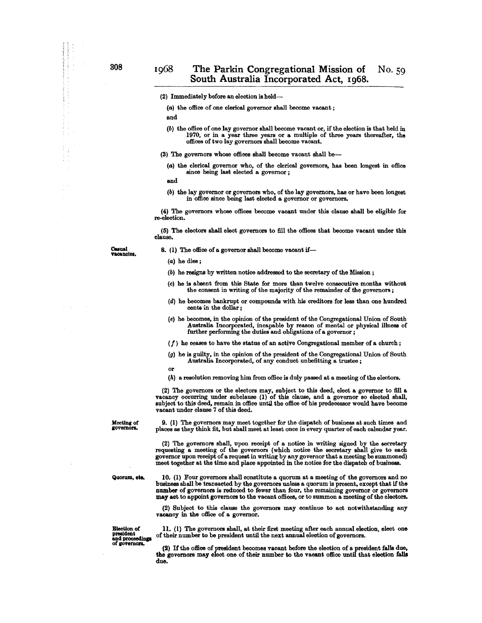### (2) Immediately before an election is held--

(a) the office of one clerical governor shall become vacant;

and

(b) the office of one lay governor shall become vacant or, if the election is that held in 1970, or in a year three years or a mUltiple of three years thereafter, the offices of two lay governors shall become vacant.

(3) The governors whose offices shall become vacant shall be-

(a) the clerical governor who, of the clerical governors, has been longest in office since being last elected a governor;

and

(b) the lay governor or governors who, of the lay governors, has or have been longest in office since being last elected a governor or governors.

(4) The governors whose offices become vacant under this clause shall be eligible for re-election.

(5) The electors shall elect governors to fill the offices that become vacant under this clause.

Casual<br>**va**cancies,

8. (1) The office of a governor shall become vacant if-

(b) he resigns by written notice addressed to the secretary of the Mission;

- (c) he is absent from this State for more than twelve consecutive months without the consent in writing of the majority of the remainder of the governors ;
- (d) he becomes bankrupt or compounds with his creditors for less than one hundred cents in the dollar;
- (e) he becomes, in the opinion of the president of the Congregational Union of South Australia Incorporated, incapable by reason of mental or physical illness of further performing the duties and obligations of a governor;
- $(f)$  he ceases to have the status of an active Congregational member of a church;
- (g) he is guilty, in the opinion of the president of the Congregational Union of South Australia Incorporated, of any conduct unbefitting a trustee;
- or
- (h) a resolution removing him from office is duly passed at a meeting of the electors.

(2) The governors or the electors may, subject to this deed, elect a governor to fill a vacancy occurring under subclause (1) of this clause, and a governor so elected shall, subject to this deed, remain in office until the office of his predecessor would have become vacant under clause 7 of this deed.

Meeting of governors.

9. (1) The governors may meet together for the dispatch of business at such times and places as they think fit, but shall meet at least once in every quarter of each calendar year.

(2) The governors shall, upon receipt of a notice in writing signed by the secretary requesting a meeting of the governors (which notice the secretary shall give to each governor upon receipt of a request in writing by any governor that a meeting be summoned) meet together at the time and place appointed in the notice for the dispatch of business.

Qllorlllll, ett. 10. (1) Four governors shall constitute a quorum at a meeting of the governors and no business shall be transacted by the governors unless a quorum is present, except that if the number of governors is reduced to fewer than four, the remaining governor or governors may act to appoint governors to the vacant offices, or to summon a meeting of the electors.

> (2) Subject to this clause the governors may continue to act notwithstanding any vacancy in the office of a governor.

of governors.

Election of  $\begin{array}{c} 11. \end{array}$  (1) The governors shall, at their first meeting after each annual election, elect one president of their number to be president until the next annual election of governors president of their number to be president until the next annual election of governors.<br>and proceedings

> (2) If the office of president becomes vacant before the election of a president falls due, the governors may elect one of their number to the vacant office until that election falls due.

<sup>(</sup>a) he dies;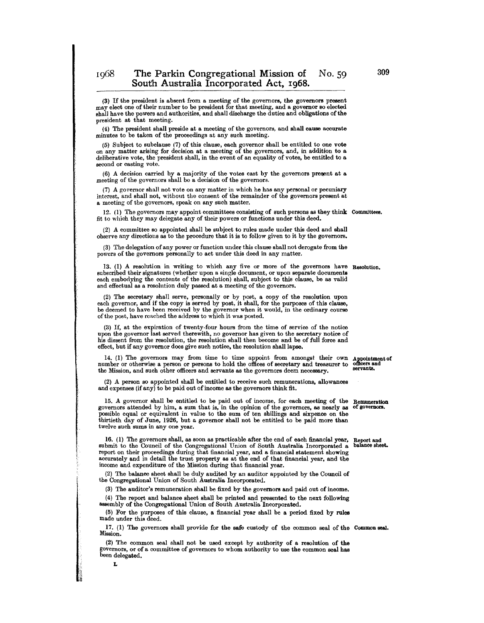(3) If the president is absent from a meeting of the governors, the governors present may elect one of their number to be president for that meeting, and a governor 80 elected shall have the powers and authorities, and shall discharge the duties and obligations of the president at that meeting.

(4) The president shall preside at a meeting of the governors, and shall cause accurate minutes to be taken of the proceedings at any such meeting.

(5) Subject to subclause (7) of this clause, each governor shall be entitled to one vote on any matter arising for decision at a meeting of the governors, and, in addition to <sup>a</sup> deliberative vote, the president shall, in the event of an equality of votes, be entitled to a second or casting vote.

 $(6)$  A decision carried by a majority of the votes cast by the governors present at a meeting of the governors shall bc a decision of the governors.

(7) A governor shall not vote on any matter in which he has any personal or pecuniary interest, and shall not, without the consent of the remainder of the governors present at a meeting of the governors, speak on any such matter.

12. (l) The governors may appoint committees consisting of such persons as they think Committees. fit to which they may delegate any of their powers or functions under this deed.

(2) A committee so appointed shall be subject to rules made under this deed and shall observe any directions as to the procedure that it is to follow given to it by the governors.

(3) The delegation of any power or function under this clause shall not derogate from the powers of the governors personally to act under this deed in any matter.

13. (1) A resolution in writing to which any five or more of the governors have Resolution. subscribed their signatures (whether upon a single document, or upon separate documents each embodying the contents of the resolution) shall, subject to this clause, be as valid and effectual as a resolution duly passed at a meeting of the governors.

(2) The secretary shall serve, personally or by post, a copy of the resolution upon each governor, and if the copy is served by post, it shall, for the purposes of this clause, be deemed to have been received by the governor when it would, in the ordinary course of the post, have reached the address to which it was posted.

(3) If, at the expiration of twenty-four hours from the time of service of the notice upon the governor last served therewith, no governor has given to the secretary notice of his dissent from the resolution, the resolution shall then become and be of full force and effect, but if any governor does give such notice, the resolution shall lapse.

14. (1) The governors may from time to time appoint from amongst their own appointment of number or otherwise a person or persons to hold the offices of secretary and treasurer to officers and the Mission and such other of the Mission, and such other officers and servants as the governors deem necessary.

(2) A person so appointed shall be entitled to receive such remunerations, allowances and expenses (if any) to be paid out of income as the governors think fit.

15. A governor shall be entitled to be paid out of income, for each meeting of the 15. A governor shall be entitled to be paid out of income, for each meeting of the Remuneration governors attended by him, a sum that is, in the opinion of the governors, as nearly as of governors. possible equal or equiva possible equal or equivalent in value to the sum of ten shillings and sixpence on the thirtieth day of June, 1926, but a governor shall not be entitled to be paid more than twelve such sums in anyone year.

16. (1) The governors shall, as soon as practicable after the end of each financial year, submit to the Council of the Congregational Union of South Australia Incorporated a submit to the Council of the Congregational Union of South Australia Incorporated a report on their proceedings during that financial year, and a financial statement showing accurately and in detail the trust property as at the end of that financial year, and the income and expenditure of the Mission during that financial year.

(2) The balance sheet shall be duly audited by an auditor appointed by the Council of the Congregational Union of South Australia Incorporated.

(3) The auditor's remuneration shall be fixed by the governors and paid out of income. (4) The report and balance sheet shall be printed and presented to the next following assembly of the Congregational Union of South Australia Incorporated.

(5) For the purposes of this clause, a financial year shall be a period fixed by rules made under this deed.

17. (1) The governors shall provide for the safe custody of the common seal of the Common seal. Mission.

(2) The common seal shall not be used except by authority of a resolution of the governors, or of a committee of governors to whom authority to use the common seal has been delegated.

L

Report and balance sheet.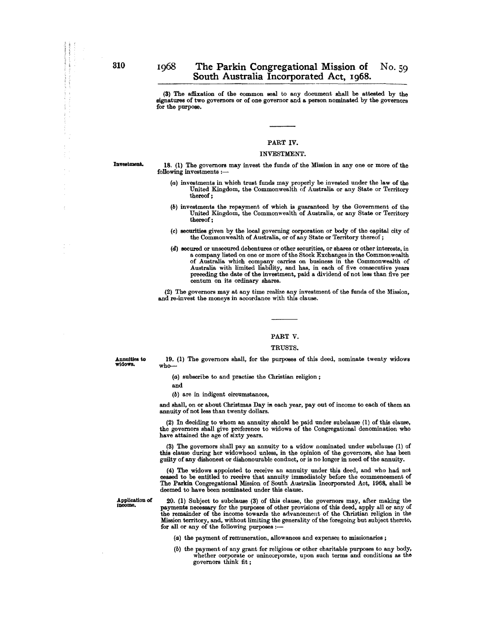(3) The affixation of the common seal to any document shall be attested by the signatures of two governors or of one governor and a person nominated by the governors for the purpose.

### PART IV.

### INVESTMENT.

Investment.

18. (1) The governors may invest the funds of the Mission in anyone or more of the following investments :-

- (a) investments in which trust funds may properly be invested under the law of the United Kingdom, the Commonwealth of Australia or any State or Territory thereof;
- (b) investments the repayment of which is guaranteed by the Government of the United Kingdom, the Commonwealth of Australia, or any State or Territory thereof;
- $(c)$  securities given by the local governing corporation or body of the capital city of the Commonwealth of Australia, or of any State or Territory thereof;
- (d) secured or unsecnred debentures or other securities, or shares or other interests, in a company listed on one or more of the Stock Exchanges in the Commonwealth of Australia which company carries on business in the Commonwealth of Australia with limited liability, and has, in each of five consecutive years preceding the date of the investment, paid a dividend of not less than five per centum on its ordinary shares.

(2) The governors may at any time realize any investment of the funds of the Mission, and re·invest the moneys in accordance with this clause.

### PART V.

#### TRUSTS.

Annuities to widows.

19. (1) The governors shall, for the purposes of this deed, nominate twenty widows who-

(a) subscribe to and practise the Christian religion;

and

(b) are in indigent circumstances,

and shall, on or about Christmas Day in each year, pay out of income to each of them an annuity of not less than twenty dollars.

(2) In deciding to whom an annuity should be paid under subclause (1) of this clause, the governors shall give preference to widows of the Congregational denomination who have attained the age of sixty years.

(3) The governors shall pay an annuity to a widow nominated under subclause (1) of this clause during her widowhood unless, in the opinion of the governors, she has been guilty of any dishonest or dishonourable conduct, or is no longer in need of the annuity.

(4) The widows appointed to receive an annuity under this deed, and who had not ceased to be entitled to receive that annuity immediatoly before the commencement of The Parkin Congregational Mission of South Australia Incorporated Act, 1968, shall be deemed to have been nominated under this clause.

Application of income.

20. (1) Subject to subclause (3) of this clause, the governors may, after making the payments necessary for the purposes of other provisions of this deed, apply all or any of the remainder of the income towards the advancement of the Christian religion in the Mission territory, and, without limiting the generality of the foregoing but subject thereto, for all or any of the following purposes :-

(a) the payment of remuneration, allowances and expenses to missionaries;

(b) the payment of any grant for religious or other charitable purposes to any body, whether corporate or unincorporate, upon such terms and conditions as the governors think fit;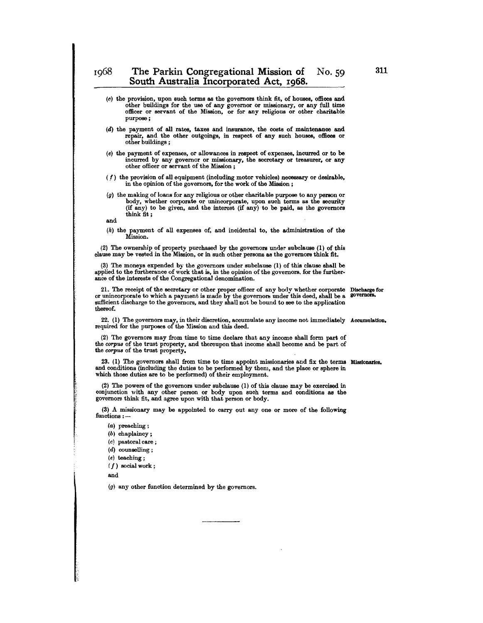- (c) the provision, upon such terms as the governors think fit, of houses, offices and other buildings for the use of any governor or missionary, or any full time officer or servant of the Mission, or for any religious or other charitable purpose ;
- (d) the payment of all rates, taxes and insurance, the costs of maintenance and repair, and the other outgoings, in respect of any such houses, offices or other buildings;
- (e) the payment of expenses, or allowances in respect of expenses, incurred or to be incurred by any governor or missionary, the secretary or treasurer, or any other officer or servant of the Mission;
- ( *f)* the provision of all equipment (including motor vehicles) necessary or desirable, in the opinion of the governors, for the work of the Mission;
- (g) the making of loans for any religious or other charitable purpose to any person or body, whether corporate or unincorporate, upon such terms as the security (if any) to be given, and the interest (if any) to be paid, as the governors think fit;

and

(h) the payment of all expenses of, and incidental to, the administration of the Mission.

(2) The ownership of property purchased by the governors under subclause (1) of this clause may be vested in the Mission, or in such other persons as the governors think fit.

(3) The moneys expended by the governors under subclause (1) of this clause shall be applied to the furtherance of work that is, in the opinion of the governors. for the further· ance of the interests of the Congregational denomination.

21. The receipt of the secretary or other proper officer of any body whether corporate Discharge for or unincorporate to which a payment is made by the governors under this deed, shall be a governors. sufficient discharge to the governors, and they shall not be bound to see to the application thereof.

22. (1) The governors may, in their discretion, accumulate any income not immediately Accumulation. required for the purposes of the Mission and this deed.

(2) The governors may from time to time declare that any income shall form part of the corpus of the trust property, and thereupon that income shall become and be part of the corpus of the trust property.

23. (1) The governors shall from time to time appoint missionaries and fix the terms Missionaries. and conditions (including the duties to be performed by them, and the place or sphere in which those duties are to be performed) of their employment.

(2) The powers of the governors under subclause (1) of this clause may be exercised in conjunction with any other person or body upon such terms and conditions as the governors think fit, and agree upon with that person or body.

(3) A missionary may be appointed to carry out anyone or more of the following functions: -

(a) preaching;

- (b) chaplaincy;
- (c) pastoral care;
- (d) counselling;
- (e) teaching;

 $(f)$  social work;

and

re de la propieta de la propieta de la propieta de la propieta de la propieta de la propieta de la propieta d<br>La propieta de la propieta de la propieta de la propieta de la propieta de la propieta de la propieta de la pr

(g) any other function determined by the governors.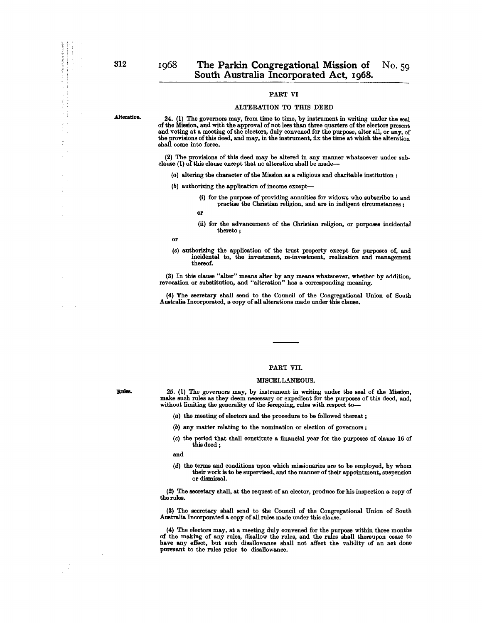### PART VI

#### ALTERATION TO THIS DEED

Alteration.

**Rules.** 

 $\sim$ 

l.

24. (1) The governors may, from time to time, by instrument in writing under the seal of the Mission, and with the approval of not less than three quarters of the electors present and voting at a meeting of the electors, duly convened for the purpose, alter all, or any, of the provisions of this deed, and may, in the instrument, fix the time at which the alteration shall come into force.

(2) The provisions of this deed may be altered in any manner whatsoever under sub. clause (1) of this clause except that no alteration shall be made-

- (a) altering the character of the Mission as a religious and charitable institution;
- (b) authorizing the application of income except--
	- (i) for the purpose of providing annuities for widows who subscribe to and practise the Christian religion, and are in indigent circumstances;
	- or
	- (ii) for the advancement of the Christian religion, or purposes incidental thereto ;

(c) authorizing the application of the trust property except for purposes of, and incidental to, the investment, re.investment, realization and management thereof.

(3) In this clause "alter" means alter by any means whatsoever, whether by addition, revocation or substitution, and "alteration" has a corresponding meaning.

(4) The secretary shall send to the Council of the Congregational Union of South Australia Incorporated, a copy of all alterations made under this clause.

### PART VII.

### MISCELLANEOUS.

25. (1) The governors may, by instrument in writing under the seal of the Mission, make such rules as they deem necessary or expedient for the purposes of this deed, and, without limiting the generality of the feregoing, rules with respect to-

(a) the meeting of electors and the procedure to be followed thereat ;

- (b) any matter relating to the nomination or election of governors;
- (c) the period that shall constitute a financial year for the purposes of clause 16 of this deed ;

and

(d) the terms and conditions upon which missionaries are to be employed, by whom their work is to be supervised, and the manner of their appointment, suspension or dismissal.

(2) The secretary shall, at the request of an elector, produce for his inspection a copy of the rules.

(3) The secretary shall send to the Council of the Congregational Union of South Australia Incorporated a copy of all rules made under this clause.

(4) The electors may, at a meeting duly convened for the purpose within three months of the making of any rules, disallow the rules, and the rules shall thereupon cease to have any effect, but such disallowance shall not affect the validity of an act done pursuant to the rules prior to disallowance.

or